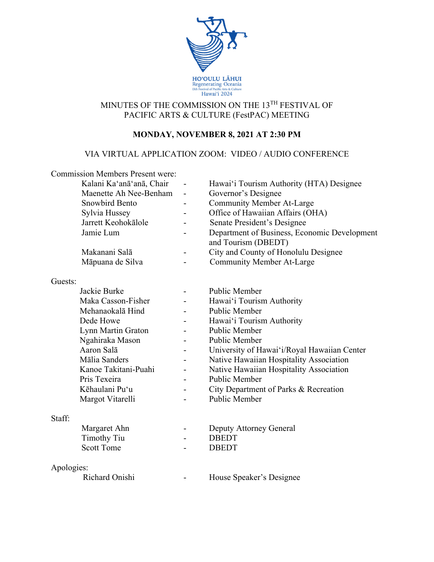

# MINUTES OF THE COMMISSION ON THE 13TH FESTIVAL OF PACIFIC ARTS & CULTURE (FestPAC) MEETING

# **MONDAY, NOVEMBER 8, 2021 AT 2:30 PM**

# VIA VIRTUAL APPLICATION ZOOM: VIDEO / AUDIO CONFERENCE

|            | <b>Commission Members Present were:</b> |                |                                                                     |
|------------|-----------------------------------------|----------------|---------------------------------------------------------------------|
|            | Kalani Ka'anā'anā, Chair                |                | Hawai'i Tourism Authority (HTA) Designee                            |
|            | Maenette Ah Nee-Benham                  | -              | Governor's Designee                                                 |
|            | Snowbird Bento                          | $\blacksquare$ | <b>Community Member At-Large</b>                                    |
|            | Sylvia Hussey                           |                | Office of Hawaiian Affairs (OHA)                                    |
|            | Jarrett Keohokālole                     |                | Senate President's Designee                                         |
|            | Jamie Lum                               |                | Department of Business, Economic Development<br>and Tourism (DBEDT) |
|            | Makanani Salā                           |                | City and County of Honolulu Designee                                |
|            | Māpuana de Silva                        |                | <b>Community Member At-Large</b>                                    |
|            |                                         |                |                                                                     |
| Guests:    |                                         |                |                                                                     |
|            | Jackie Burke                            |                | Public Member                                                       |
|            | Maka Casson-Fisher                      |                | Hawai'i Tourism Authority                                           |
|            | Mehanaokalā Hind                        |                | <b>Public Member</b>                                                |
|            | Dede Howe                               |                | Hawai'i Tourism Authority                                           |
|            | Lynn Martin Graton                      |                | Public Member                                                       |
|            | Ngahiraka Mason                         |                | Public Member                                                       |
|            | Aaron Salā                              |                | University of Hawai'i/Royal Hawaiian Center                         |
|            | Mālia Sanders                           |                | Native Hawaiian Hospitality Association                             |
|            | Kanoe Takitani-Puahi                    |                | Native Hawaiian Hospitality Association                             |
|            | Pris Texeira                            |                | <b>Public Member</b>                                                |
|            | Kēhaulani Pu'u                          |                | City Department of Parks & Recreation                               |
|            | Margot Vitarelli                        |                | <b>Public Member</b>                                                |
| Staff:     |                                         |                |                                                                     |
|            | Margaret Ahn                            |                | Deputy Attorney General                                             |
|            | <b>Timothy Tiu</b>                      |                | <b>DBEDT</b>                                                        |
|            | <b>Scott Tome</b>                       |                | <b>DBEDT</b>                                                        |
| Apologies: |                                         |                |                                                                     |
|            | Richard Onishi                          |                | House Speaker's Designee                                            |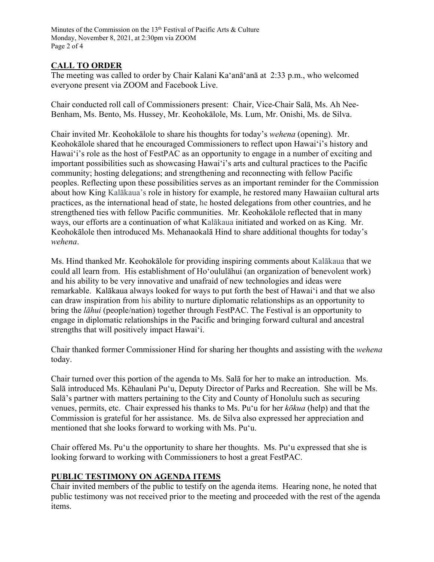Minutes of the Commission on the 13<sup>th</sup> Festival of Pacific Arts & Culture Monday, November 8, 2021, at 2:30pm via ZOOM Page 2 of 4

# **CALL TO ORDER**

The meeting was called to order by Chair Kalani Ka'anā'anā at 2:33 p.m., who welcomed everyone present via ZOOM and Facebook Live.

Chair conducted roll call of Commissioners present: Chair, Vice-Chair Salā, Ms. Ah Nee-Benham, Ms. Bento, Ms. Hussey, Mr. Keohokālole, Ms. Lum, Mr. Onishi, Ms. de Silva.

Chair invited Mr. Keohokālole to share his thoughts for today's *wehena* (opening). Mr. Keohokālole shared that he encouraged Commissioners to reflect upon Hawaiʻi's history and Hawaiʻi's role as the host of FestPAC as an opportunity to engage in a number of exciting and important possibilities such as showcasing Hawaiʻi's arts and cultural practices to the Pacific community; hosting delegations; and strengthening and reconnecting with fellow Pacific peoples. Reflecting upon these possibilities serves as an important reminder for the Commission about how King Kalākaua's role in history for example, he restored many Hawaiian cultural arts practices, as the international head of state, he hosted delegations from other countries, and he strengthened ties with fellow Pacific communities. Mr. Keohokālole reflected that in many ways, our efforts are a continuation of what Kalākaua initiated and worked on as King. Mr. Keohokālole then introduced Ms. Mehanaokalā Hind to share additional thoughts for today's *wehena*.

Ms. Hind thanked Mr. Keohokālole for providing inspiring comments about Kalākaua that we could all learn from. His establishment of Hoʻoululāhui (an organization of benevolent work) and his ability to be very innovative and unafraid of new technologies and ideas were remarkable. Kalākaua always looked for ways to put forth the best of Hawaiʻi and that we also can draw inspiration from his ability to nurture diplomatic relationships as an opportunity to bring the *lāhui* (people/nation) together through FestPAC. The Festival is an opportunity to engage in diplomatic relationships in the Pacific and bringing forward cultural and ancestral strengths that will positively impact Hawaiʻi.

Chair thanked former Commissioner Hind for sharing her thoughts and assisting with the *wehena* today.

Chair turned over this portion of the agenda to Ms. Salā for her to make an introduction. Ms. Salā introduced Ms. Kēhaulani Puʻu, Deputy Director of Parks and Recreation. She will be Ms. Salā's partner with matters pertaining to the City and County of Honolulu such as securing venues, permits, etc. Chair expressed his thanks to Ms. Puʻu for her *kōkua* (help) and that the Commission is grateful for her assistance. Ms. de Silva also expressed her appreciation and mentioned that she looks forward to working with Ms. Puʻu.

Chair offered Ms. Puʻu the opportunity to share her thoughts. Ms. Puʻu expressed that she is looking forward to working with Commissioners to host a great FestPAC.

## **PUBLIC TESTIMONY ON AGENDA ITEMS**

Chair invited members of the public to testify on the agenda items. Hearing none, he noted that public testimony was not received prior to the meeting and proceeded with the rest of the agenda items.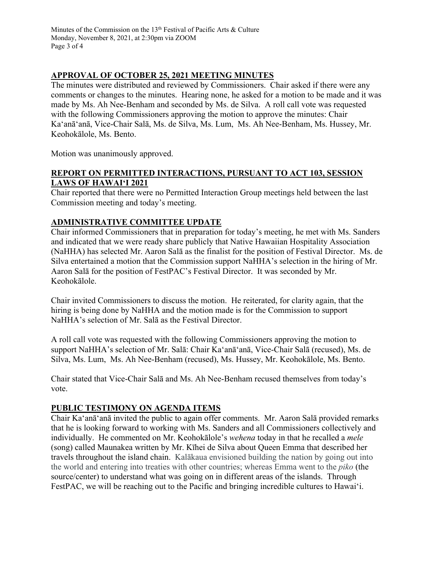Minutes of the Commission on the 13<sup>th</sup> Festival of Pacific Arts & Culture Monday, November 8, 2021, at 2:30pm via ZOOM Page 3 of 4

### **APPROVAL OF OCTOBER 25, 2021 MEETING MINUTES**

The minutes were distributed and reviewed by Commissioners. Chair asked if there were any comments or changes to the minutes. Hearing none, he asked for a motion to be made and it was made by Ms. Ah Nee-Benham and seconded by Ms. de Silva. A roll call vote was requested with the following Commissioners approving the motion to approve the minutes: Chair Ka'anā'anā, Vice-Chair Salā, Ms. de Silva, Ms. Lum, Ms. Ah Nee-Benham, Ms. Hussey, Mr. Keohokālole, Ms. Bento.

Motion was unanimously approved.

### **REPORT ON PERMITTED INTERACTIONS, PURSUANT TO ACT 103, SESSION LAWS OF HAWAIʻI 2021**

Chair reported that there were no Permitted Interaction Group meetings held between the last Commission meeting and today's meeting.

## **ADMINISTRATIVE COMMITTEE UPDATE**

Chair informed Commissioners that in preparation for today's meeting, he met with Ms. Sanders and indicated that we were ready share publicly that Native Hawaiian Hospitality Association (NaHHA) has selected Mr. Aaron Salā as the finalist for the position of Festival Director. Ms. de Silva entertained a motion that the Commission support NaHHA's selection in the hiring of Mr. Aaron Salā for the position of FestPAC's Festival Director. It was seconded by Mr. Keohokālole.

Chair invited Commissioners to discuss the motion. He reiterated, for clarity again, that the hiring is being done by NaHHA and the motion made is for the Commission to support NaHHA's selection of Mr. Salā as the Festival Director.

A roll call vote was requested with the following Commissioners approving the motion to support NaHHA's selection of Mr. Salā: Chair Ka'anā'anā, Vice-Chair Salā (recused), Ms. de Silva, Ms. Lum, Ms. Ah Nee-Benham (recused), Ms. Hussey, Mr. Keohokālole, Ms. Bento.

Chair stated that Vice-Chair Salā and Ms. Ah Nee-Benham recused themselves from today's vote.

#### **PUBLIC TESTIMONY ON AGENDA ITEMS**

Chair Ka'anā'anā invited the public to again offer comments. Mr. Aaron Salā provided remarks that he is looking forward to working with Ms. Sanders and all Commissioners collectively and individually. He commented on Mr. Keohokālole's *wehena* today in that he recalled a *mele*  (song) called Maunakea written by Mr. Kīhei de Silva about Queen Emma that described her travels throughout the island chain. Kalākaua envisioned building the nation by going out into the world and entering into treaties with other countries; whereas Emma went to the *piko* (the source/center) to understand what was going on in different areas of the islands. Through FestPAC, we will be reaching out to the Pacific and bringing incredible cultures to Hawaiʻi.